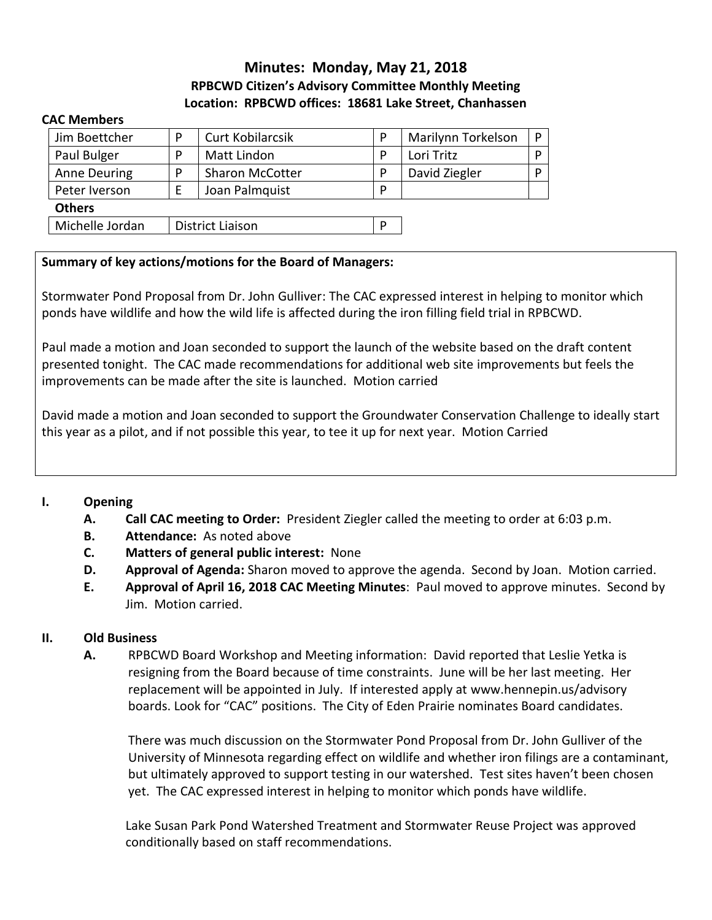### **Minutes: Monday, May 21, 2018 RPBCWD Citizen's Advisory Committee Monthly Meeting Location: RPBCWD offices: 18681 Lake Street, Chanhassen**

#### **CAC Members**

| Jim Boettcher       | D | <b>Curt Kobilarcsik</b> | P | Marilynn Torkelson | D |
|---------------------|---|-------------------------|---|--------------------|---|
| Paul Bulger         | D | Matt Lindon             | P | Lori Tritz         | D |
| <b>Anne Deuring</b> | D | <b>Sharon McCotter</b>  | P | David Ziegler      | D |
| Peter Iverson       |   | Joan Palmquist          | P |                    |   |
| <b>Others</b>       |   |                         |   |                    |   |
| Michelle Jordan     |   | District Liaison        |   |                    |   |

#### **Summary of key actions/motions for the Board of Managers:**

Stormwater Pond Proposal from Dr. John Gulliver: The CAC expressed interest in helping to monitor which ponds have wildlife and how the wild life is affected during the iron filling field trial in RPBCWD.

Paul made a motion and Joan seconded to support the launch of the website based on the draft content presented tonight. The CAC made recommendations for additional web site improvements but feels the improvements can be made after the site is launched. Motion carried

David made a motion and Joan seconded to support the Groundwater Conservation Challenge to ideally start this year as a pilot, and if not possible this year, to tee it up for next year. Motion Carried

#### **I. Opening**

- **A. Call CAC meeting to Order:** President Ziegler called the meeting to order at 6:03 p.m.
- **B. Attendance:** As noted above
- **C. Matters of general public interest:** None
- **D. Approval of Agenda:** Sharon moved to approve the agenda. Second by Joan. Motion carried.
- **E. Approval of April 16, 2018 CAC Meeting Minutes**: Paul moved to approve minutes. Second by Jim. Motion carried.

#### **II. Old Business**

**A.** RPBCWD Board Workshop and Meeting information: David reported that Leslie Yetka is resigning from the Board because of time constraints. June will be her last meeting. Her replacement will be appointed in July. If interested apply at www.hennepin.us/advisory boards. Look for "CAC" positions. The City of Eden Prairie nominates Board candidates.

There was much discussion on the Stormwater Pond Proposal from Dr. John Gulliver of the University of Minnesota regarding effect on wildlife and whether iron filings are a contaminant, but ultimately approved to support testing in our watershed. Test sites haven't been chosen yet. The CAC expressed interest in helping to monitor which ponds have wildlife.

Lake Susan Park Pond Watershed Treatment and Stormwater Reuse Project was approved conditionally based on staff recommendations.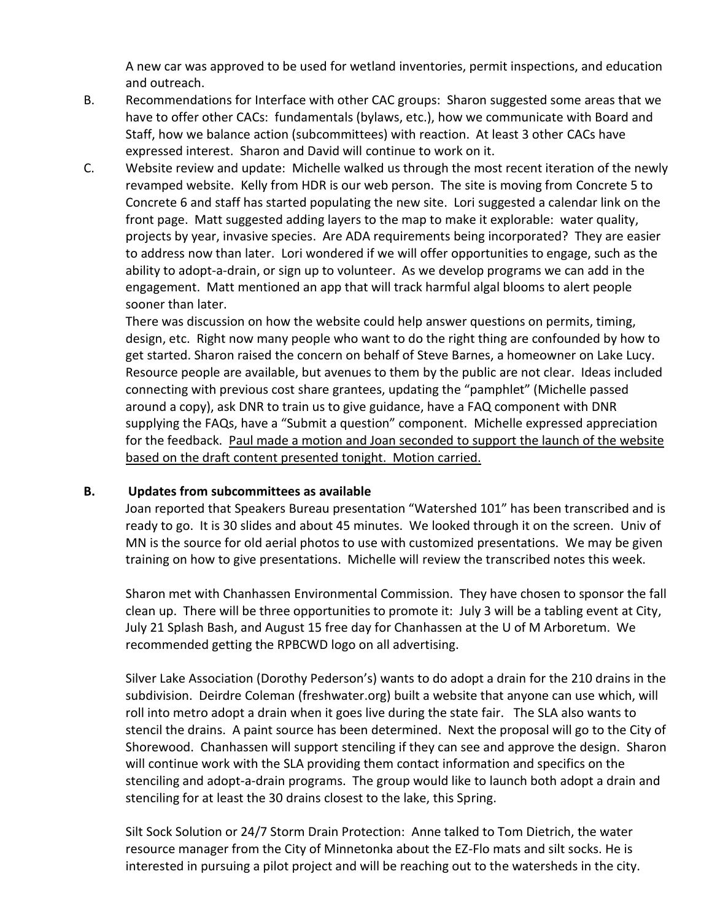A new car was approved to be used for wetland inventories, permit inspections, and education and outreach.

- B. Recommendations for Interface with other CAC groups: Sharon suggested some areas that we have to offer other CACs: fundamentals (bylaws, etc.), how we communicate with Board and Staff, how we balance action (subcommittees) with reaction. At least 3 other CACs have expressed interest. Sharon and David will continue to work on it.
- C. Website review and update: Michelle walked us through the most recent iteration of the newly revamped website. Kelly from HDR is our web person. The site is moving from Concrete 5 to Concrete 6 and staff has started populating the new site. Lori suggested a calendar link on the front page. Matt suggested adding layers to the map to make it explorable: water quality, projects by year, invasive species. Are ADA requirements being incorporated? They are easier to address now than later. Lori wondered if we will offer opportunities to engage, such as the ability to adopt-a-drain, or sign up to volunteer. As we develop programs we can add in the engagement. Matt mentioned an app that will track harmful algal blooms to alert people sooner than later.

There was discussion on how the website could help answer questions on permits, timing, design, etc. Right now many people who want to do the right thing are confounded by how to get started. Sharon raised the concern on behalf of Steve Barnes, a homeowner on Lake Lucy. Resource people are available, but avenues to them by the public are not clear. Ideas included connecting with previous cost share grantees, updating the "pamphlet" (Michelle passed around a copy), ask DNR to train us to give guidance, have a FAQ component with DNR supplying the FAQs, have a "Submit a question" component. Michelle expressed appreciation for the feedback. Paul made a motion and Joan seconded to support the launch of the website based on the draft content presented tonight. Motion carried.

#### **B. Updates from subcommittees as available**

Joan reported that Speakers Bureau presentation "Watershed 101" has been transcribed and is ready to go. It is 30 slides and about 45 minutes. We looked through it on the screen. Univ of MN is the source for old aerial photos to use with customized presentations. We may be given training on how to give presentations. Michelle will review the transcribed notes this week.

Sharon met with Chanhassen Environmental Commission. They have chosen to sponsor the fall clean up. There will be three opportunities to promote it: July 3 will be a tabling event at City, July 21 Splash Bash, and August 15 free day for Chanhassen at the U of M Arboretum. We recommended getting the RPBCWD logo on all advertising.

Silver Lake Association (Dorothy Pederson's) wants to do adopt a drain for the 210 drains in the subdivision. Deirdre Coleman (freshwater.org) built a website that anyone can use which, will roll into metro adopt a drain when it goes live during the state fair. The SLA also wants to stencil the drains. A paint source has been determined. Next the proposal will go to the City of Shorewood. Chanhassen will support stenciling if they can see and approve the design. Sharon will continue work with the SLA providing them contact information and specifics on the stenciling and adopt-a-drain programs. The group would like to launch both adopt a drain and stenciling for at least the 30 drains closest to the lake, this Spring.

Silt Sock Solution or 24/7 Storm Drain Protection: Anne talked to Tom Dietrich, the water resource manager from the City of Minnetonka about the EZ-Flo mats and silt socks. He is interested in pursuing a pilot project and will be reaching out to the watersheds in the city.